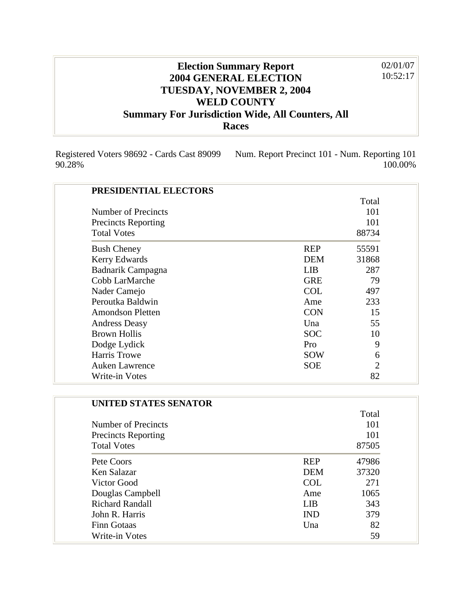## **Election Summary Report 2004 GENERAL ELECTION TUESDAY, NOVEMBER 2, 2004 WELD COUNTY Summary For Jurisdiction Wide, All Counters, All Races** 02/01/07 10:52:17

100.00%

Registered Voters 98692 - Cards Cast 89099 90.28% Num. Report Precinct 101 - Num. Reporting 101

| PRESIDENTIAL ELECTORS      |            |                |
|----------------------------|------------|----------------|
|                            |            | Total          |
| Number of Precincts        |            | 101            |
| <b>Precincts Reporting</b> |            | 101            |
| <b>Total Votes</b>         |            | 88734          |
| <b>Bush Cheney</b>         | <b>REP</b> | 55591          |
| Kerry Edwards              | <b>DEM</b> | 31868          |
| Badnarik Campagna          | <b>LIB</b> | 287            |
| Cobb LarMarche             | <b>GRE</b> | 79             |
| Nader Camejo               | <b>COL</b> | 497            |
| Peroutka Baldwin           | Ame        | 233            |
| <b>Amondson Pletten</b>    | <b>CON</b> | 15             |
| <b>Andress Deasy</b>       | Una        | 55             |
| <b>Brown Hollis</b>        | <b>SOC</b> | 10             |
| Dodge Lydick               | Pro        | 9              |
| Harris Trowe               | <b>SOW</b> | 6              |
| <b>Auken Lawrence</b>      | <b>SOE</b> | $\overline{2}$ |
| Write-in Votes             |            | 82             |

| UNITED STATES SENATOR      |            |       |
|----------------------------|------------|-------|
|                            |            | Total |
| Number of Precincts        |            | 101   |
| <b>Precincts Reporting</b> |            | 101   |
| <b>Total Votes</b>         |            | 87505 |
| Pete Coors                 | <b>REP</b> | 47986 |
| Ken Salazar                | <b>DEM</b> | 37320 |
| Victor Good                | <b>COL</b> | 271   |
| Douglas Campbell           | Ame        | 1065  |
| <b>Richard Randall</b>     | <b>LIB</b> | 343   |
| John R. Harris             | <b>IND</b> | 379   |
| <b>Finn Gotaas</b>         | Una        | 82    |
| Write-in Votes             |            | 59    |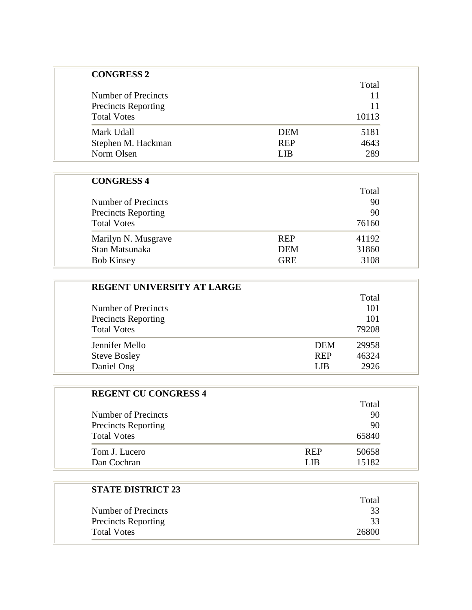| <b>CONGRESS 2</b>          |            |       |
|----------------------------|------------|-------|
|                            |            | Total |
| Number of Precincts        |            | 11    |
| <b>Precincts Reporting</b> |            | 11    |
| <b>Total Votes</b>         |            | 10113 |
| Mark Udall                 | <b>DEM</b> | 5181  |
| Stephen M. Hackman         | <b>REP</b> | 4643  |
| Norm Olsen                 | LIB        | 289   |

## **CONGRESS 4**

|                            |            | Total |
|----------------------------|------------|-------|
| Number of Precincts        |            | 90    |
| <b>Precincts Reporting</b> |            | 90    |
| <b>Total Votes</b>         |            | 76160 |
| Marilyn N. Musgrave        | <b>REP</b> | 41192 |
| Stan Matsunaka             | <b>DEM</b> | 31860 |
| <b>Bob Kinsey</b>          | <b>GRE</b> | 3108  |

| <b>REGENT UNIVERSITY AT LARGE</b> |            |       |
|-----------------------------------|------------|-------|
|                                   |            | Total |
| Number of Precincts               |            | 101   |
| <b>Precincts Reporting</b>        |            | 101   |
| <b>Total Votes</b>                |            | 79208 |
| Jennifer Mello                    | <b>DEM</b> | 29958 |
| <b>Steve Bosley</b>               | <b>REP</b> | 46324 |
| Daniel Ong                        | LIB        | 2926  |

| <b>REGENT CU CONGRESS 4</b> |            |       |
|-----------------------------|------------|-------|
|                             |            | Total |
| Number of Precincts         |            | 90    |
| <b>Precincts Reporting</b>  |            | 90    |
| <b>Total Votes</b>          |            | 65840 |
| Tom J. Lucero               | <b>REP</b> | 50658 |
| Dan Cochran                 | I IR       | 15182 |

| <b>STATE DISTRICT 23</b>   | Total |
|----------------------------|-------|
| Number of Precincts        | 33    |
| <b>Precincts Reporting</b> | 33    |
| <b>Total Votes</b>         | 26800 |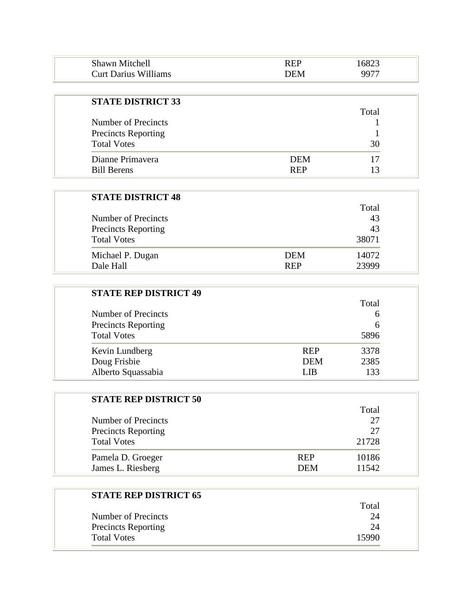| Shawn Mitchell                          |      | $\mathcal{L}^{O}$<br>ıΧ |
|-----------------------------------------|------|-------------------------|
| $\ldots$<br><b>Curt Darius Williams</b> | DEM. |                         |

| <b>STATE DISTRICT 33</b>   |            | Total |
|----------------------------|------------|-------|
| Number of Precincts        |            |       |
| <b>Precincts Reporting</b> |            |       |
| <b>Total Votes</b>         |            | 30    |
| Dianne Primayera           | <b>DEM</b> | 17    |
| <b>Bill Berens</b>         | <b>REP</b> |       |

| <b>STATE DISTRICT 48</b>   |            |       |
|----------------------------|------------|-------|
|                            |            | Total |
| Number of Precincts        |            | 43    |
| <b>Precincts Reporting</b> |            | 43    |
| <b>Total Votes</b>         |            | 38071 |
| Michael P. Dugan           | <b>DEM</b> | 14072 |
| Dale Hall                  | <b>REP</b> | 23999 |

| <b>STATE REP DISTRICT 49</b> |            |       |
|------------------------------|------------|-------|
|                              |            | Total |
| Number of Precincts          |            | 6     |
| <b>Precincts Reporting</b>   |            | 6     |
| <b>Total Votes</b>           |            | 5896  |
| Kevin Lundberg               | <b>REP</b> | 3378  |
| Doug Frisbie                 | <b>DEM</b> | 2385  |
| Alberto Squassabia           | LIB        | 133   |

| <b>STATE REP DISTRICT 50</b> |            |       |
|------------------------------|------------|-------|
|                              |            | Total |
| Number of Precincts          |            | 27    |
| <b>Precincts Reporting</b>   |            | 27    |
| <b>Total Votes</b>           |            | 21728 |
| Pamela D. Groeger            | <b>REP</b> | 10186 |
| James L. Riesberg            | <b>DEM</b> | 11542 |

| <b>STATE REP DISTRICT 65</b> |       |
|------------------------------|-------|
|                              | Total |
| Number of Precincts          | 24    |
| <b>Precincts Reporting</b>   | 24    |
| <b>Total Votes</b>           | 15990 |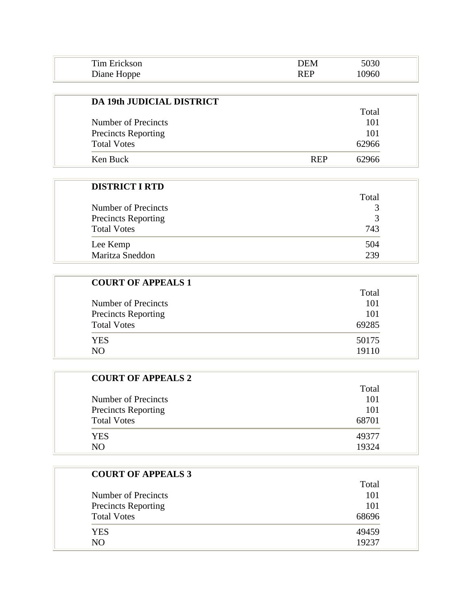| Tim L       |  |  |
|-------------|--|--|
| Diane Hoppe |  |  |

| <b>DA 19th JUDICIAL DISTRICT</b> |            |       |
|----------------------------------|------------|-------|
|                                  |            | Total |
| Number of Precincts              |            | 101   |
| <b>Precincts Reporting</b>       |            | 101   |
| <b>Total Votes</b>               |            | 62966 |
| Ken Buck                         | <b>RFP</b> | 62966 |

| <b>DISTRICT I RTD</b>      |       |
|----------------------------|-------|
|                            | Total |
| Number of Precincts        | 3     |
| <b>Precincts Reporting</b> | 3     |
| <b>Total Votes</b>         | 743   |
| Lee Kemp                   | 504   |
| Maritza Sneddon            | 239   |

| <b>COURT OF APPEALS 1</b>  |       |
|----------------------------|-------|
|                            | Total |
| Number of Precincts        | 101   |
| <b>Precincts Reporting</b> | 101   |
| <b>Total Votes</b>         | 69285 |
| <b>YES</b>                 | 50175 |
| NO.                        | 19110 |

| <b>COURT OF APPEALS 2</b>  |       |
|----------------------------|-------|
|                            | Total |
| Number of Precincts        | 101   |
| <b>Precincts Reporting</b> | 101   |
| <b>Total Votes</b>         | 68701 |
| <b>YES</b>                 | 49377 |
| NO.                        | 19324 |

| <b>COURT OF APPEALS 3</b>  |       |
|----------------------------|-------|
|                            | Total |
| Number of Precincts        | 101   |
| <b>Precincts Reporting</b> | 101   |
| <b>Total Votes</b>         | 68696 |
| <b>YES</b>                 | 49459 |
| NO.                        | 19237 |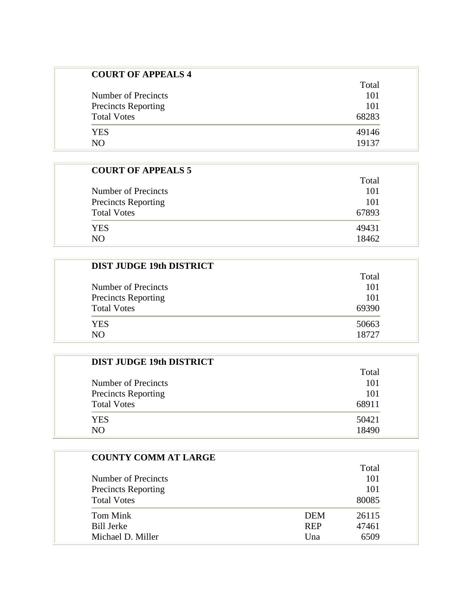| <b>COURT OF APPEALS 4</b>  |       |
|----------------------------|-------|
|                            | Total |
| Number of Precincts        | 101   |
| <b>Precincts Reporting</b> | 101   |
| <b>Total Votes</b>         | 68283 |
| <b>YES</b>                 | 49146 |
| NO.                        | 19137 |

| <b>COURT OF APPEALS 5</b>  |       |
|----------------------------|-------|
|                            | Total |
| Number of Precincts        | 101   |
| <b>Precincts Reporting</b> | 101   |
| <b>Total Votes</b>         | 67893 |
| YES.                       | 49431 |
| N()                        | 18462 |

| DIST JUDGE 19th DISTRICT   |       |
|----------------------------|-------|
|                            | Total |
| Number of Precincts        | 101   |
| <b>Precincts Reporting</b> | 101   |
| <b>Total Votes</b>         | 69390 |
| <b>YES</b>                 | 50663 |
| NO.                        | 18727 |

| Total |
|-------|
| 101   |
| 101   |
| 68911 |
| 50421 |
| 18490 |
|       |

| <b>COUNTY COMM AT LARGE</b> |            |       |
|-----------------------------|------------|-------|
|                             |            | Total |
| Number of Precincts         |            | 101   |
| <b>Precincts Reporting</b>  |            | 101   |
| <b>Total Votes</b>          |            | 80085 |
| Tom Mink                    | <b>DEM</b> | 26115 |
| <b>Bill Jerke</b>           | <b>REP</b> | 47461 |
| Michael D. Miller           | Una        | 6509  |
|                             |            |       |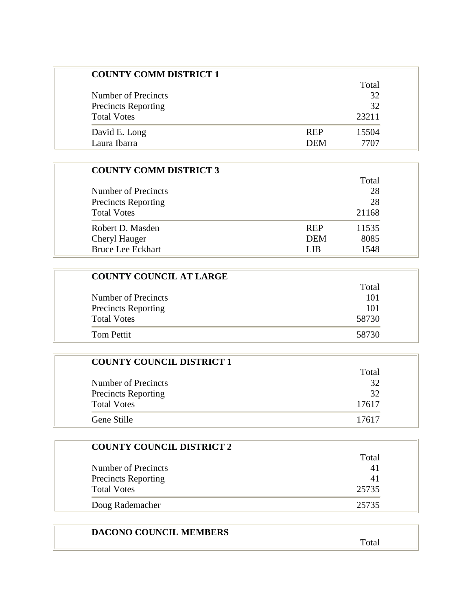| <b>COUNTY COMM DISTRICT 1</b> |            |       |
|-------------------------------|------------|-------|
|                               |            | Total |
| Number of Precincts           |            | 32    |
| <b>Precincts Reporting</b>    |            | 32    |
| <b>Total Votes</b>            |            | 23211 |
| David E. Long                 | <b>REP</b> | 15504 |
| Laura Ibarra                  | <b>DEM</b> | 7707  |

| <b>COUNTY COMM DISTRICT 3</b> |            |       |
|-------------------------------|------------|-------|
|                               |            | Total |
| Number of Precincts           |            | 28    |
| <b>Precincts Reporting</b>    |            | 28    |
| <b>Total Votes</b>            |            | 21168 |
| Robert D. Masden              | <b>REP</b> | 11535 |
| Cheryl Hauger                 | <b>DEM</b> | 8085  |
| <b>Bruce Lee Eckhart</b>      | L IB       | 1548  |

| <b>COUNTY COUNCIL AT LARGE</b> |       |  |
|--------------------------------|-------|--|
|                                | Total |  |
| Number of Precincts            | 101   |  |
| <b>Precincts Reporting</b>     | 101   |  |
| <b>Total Votes</b>             | 58730 |  |
| Tom Pettit                     | 58730 |  |

| <b>COUNTY COUNCIL DISTRICT 1</b> |       |
|----------------------------------|-------|
|                                  | Total |
| Number of Precincts              | 32    |
| <b>Precincts Reporting</b>       | 32    |
| <b>Total Votes</b>               | 17617 |
| Gene Stille                      | 17617 |

| <b>COUNTY COUNCIL DISTRICT 2</b> |       |
|----------------------------------|-------|
|                                  | Total |
| Number of Precincts              | 41    |
| <b>Precincts Reporting</b>       | 41    |
| <b>Total Votes</b>               | 25735 |
| Doug Rademacher                  | 25735 |

## **DACONO COUNCIL MEMBERS**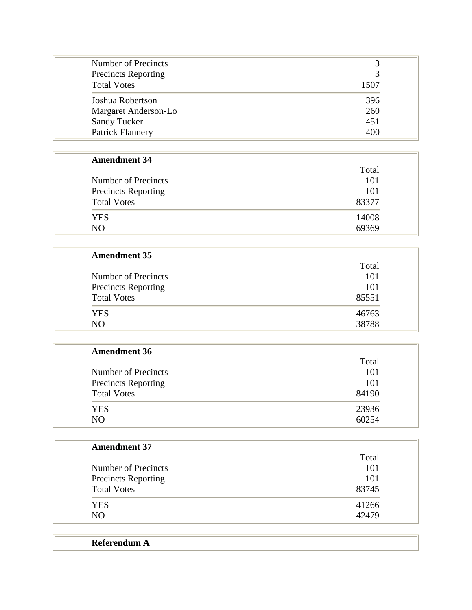| Number of Precincts        |      |
|----------------------------|------|
| <b>Precincts Reporting</b> |      |
| <b>Total Votes</b>         | 1507 |
| Joshua Robertson           | 396  |
| Margaret Anderson-Lo       | 260  |
| <b>Sandy Tucker</b>        | 451  |
| <b>Patrick Flannery</b>    | 400  |

## **Amendment 34**

|                            | Total |
|----------------------------|-------|
| Number of Precincts        | 101   |
| <b>Precincts Reporting</b> | 101   |
| <b>Total Votes</b>         | 83377 |
| YES                        | 14008 |
| NO.                        | 69369 |

| Total |
|-------|
| 101   |
| 101   |
| 85551 |
| 46763 |
| 38788 |
|       |

| <b>Amendment 36</b> |       |
|---------------------|-------|
|                     | Total |
| Number of Precincts | 101   |
| Precincts Reporting | 101   |
| <b>Total Votes</b>  | 84190 |
| <b>YES</b>          | 23936 |
| N <sub>O</sub>      | 60254 |

| <b>Amendment 37</b>        |       |
|----------------------------|-------|
|                            | Total |
| Number of Precincts        | 101   |
| <b>Precincts Reporting</b> | 101   |
| <b>Total Votes</b>         | 83745 |
| <b>YES</b>                 | 41266 |
| N <sub>O</sub>             | 42479 |

| Referendum A |
|--------------|
|              |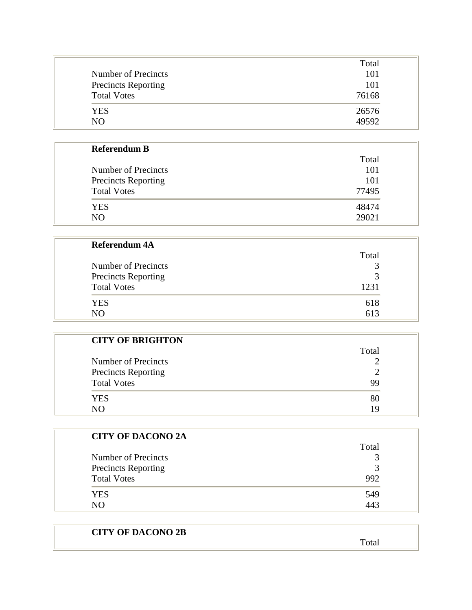| Number of Precincts        | Total<br>101 |
|----------------------------|--------------|
| <b>Precincts Reporting</b> | 101          |
| <b>Total Votes</b>         | 76168        |
| <b>YES</b>                 | 26576        |
| N()                        | 49592        |

| <b>Referendum B</b>                               |            |
|---------------------------------------------------|------------|
|                                                   | Total      |
| Number of Precincts<br><b>Precincts Reporting</b> | 101<br>101 |
|                                                   |            |
| <b>YES</b>                                        | 48474      |
| NO.                                               | 29021      |

| <b>Referendum 4A</b>       |             |
|----------------------------|-------------|
|                            | Total       |
| Number of Precincts        |             |
| <b>Precincts Reporting</b> | $\mathbf 3$ |
| <b>Total Votes</b>         | 1231        |
| <b>YES</b>                 | 618         |
| NO                         | 613         |

| <b>CITY OF BRIGHTON</b>    |       |
|----------------------------|-------|
|                            | Total |
| Number of Precincts        |       |
| <b>Precincts Reporting</b> |       |
| <b>Total Votes</b>         | 99    |
| <b>YES</b>                 | 80    |
| NΩ                         | ١q    |

| <b>CITY OF DACONO 2A</b>   |               |
|----------------------------|---------------|
|                            | Total         |
| Number of Precincts        |               |
| <b>Precincts Reporting</b> | $\mathcal{R}$ |
| <b>Total Votes</b>         | 992           |
| <b>YES</b>                 | 549           |
| NO                         | 443           |

| <b>CITY OF DACONO 2B</b> |       |
|--------------------------|-------|
|                          | Total |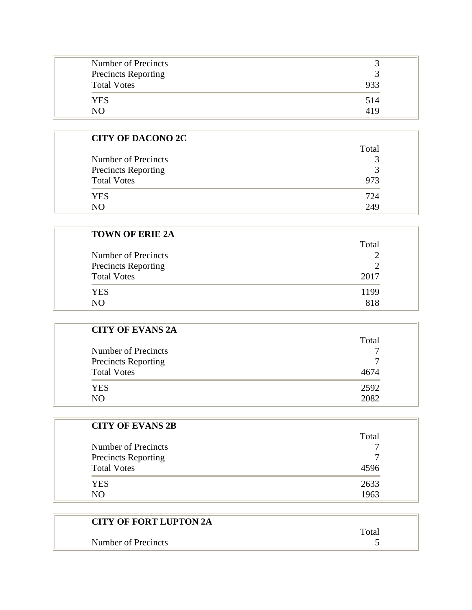| Number of Precincts<br>Precincts Reporting<br><b>Total Votes</b> | 933 |
|------------------------------------------------------------------|-----|
| YES                                                              | 514 |
| NΩ                                                               | 419 |

| <b>CITY OF DACONO 2C</b>   |               |
|----------------------------|---------------|
|                            | Total         |
| Number of Precincts        | 3             |
| <b>Precincts Reporting</b> | $\mathcal{R}$ |
| <b>Total Votes</b>         | 973           |
| <b>YES</b>                 | 724           |
| N()                        | 249           |

| <b>TOWN OF ERIE 2A</b> |       |
|------------------------|-------|
|                        | Total |
| Number of Precincts    |       |
| Precincts Reporting    |       |
| <b>Total Votes</b>     | 2017  |
| <b>YES</b>             | 1199  |
| N <sub>O</sub>         | 818   |

| <b>CITY OF EVANS 2A</b>    |       |
|----------------------------|-------|
|                            | Total |
| Number of Precincts        |       |
| <b>Precincts Reporting</b> |       |
| <b>Total Votes</b>         | 4674  |
| <b>YES</b>                 | 2592  |
| N()                        | 2082  |

| <b>CITY OF EVANS 2B</b>    |       |
|----------------------------|-------|
|                            | Total |
| Number of Precincts        |       |
| <b>Precincts Reporting</b> |       |
| <b>Total Votes</b>         | 4596  |
| YES.                       | 2633  |
| NO                         | 1963  |

| <b>CITY OF FORT LUPTON 2A</b> |       |
|-------------------------------|-------|
|                               | Total |
| Number of Precincts           |       |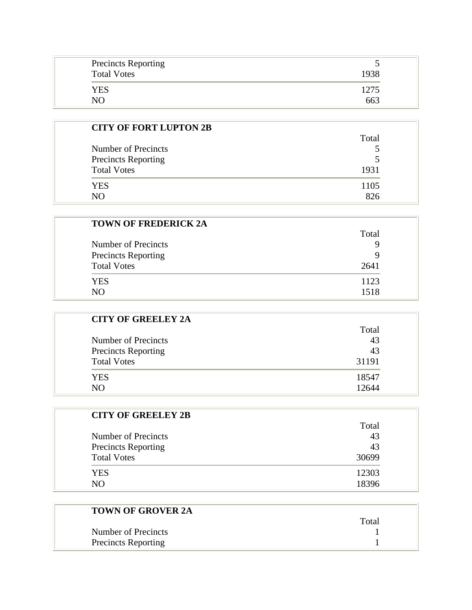| <b>Precincts Reporting</b><br>ັ<br><b>Total Votes</b><br>1938 |
|---------------------------------------------------------------|
| YES<br>1275<br>663<br>NΩ                                      |

| <b>CITY OF FORT LUPTON 2B</b> |       |
|-------------------------------|-------|
|                               | Total |
| Number of Precincts           |       |
| <b>Precincts Reporting</b>    |       |
| <b>Total Votes</b>            | 1931  |
| YES                           | 1105  |
| NΩ                            | 826   |

| <b>TOWN OF FREDERICK 2A</b> |       |
|-----------------------------|-------|
|                             | Total |
| Number of Precincts         | 9     |
| <b>Precincts Reporting</b>  | Q     |
| <b>Total Votes</b>          | 2641  |
| <b>YES</b>                  | 1123  |
| NO.                         | 1518  |

| <b>CITY OF GREELEY 2A</b>  |       |
|----------------------------|-------|
|                            | Total |
| Number of Precincts        | 43    |
| <b>Precincts Reporting</b> | 43    |
| <b>Total Votes</b>         | 31191 |
| YES.                       | 18547 |
| NO                         | 12644 |

| <b>CITY OF GREELEY 2B</b>  |       |
|----------------------------|-------|
|                            | Total |
| Number of Precincts        | 43    |
| <b>Precincts Reporting</b> | 43    |
| <b>Total Votes</b>         | 30699 |
| <b>YES</b>                 | 12303 |
| NΟ                         | 18396 |

| <b>TOWN OF GROVER 2A</b>   |       |
|----------------------------|-------|
|                            | Total |
| Number of Precincts        |       |
| <b>Precincts Reporting</b> |       |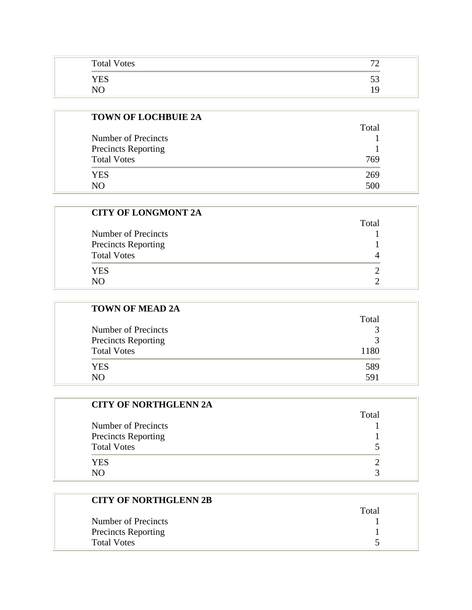| <b>Total Votes</b> | $\overline{\phantom{a}}$<br>∽ |
|--------------------|-------------------------------|
| <b>YES</b>         | ັ                             |
| ٦٦                 | Ч                             |

| <b>TOWN OF LOCHBUIE 2A</b> |       |
|----------------------------|-------|
|                            | Total |
| Number of Precincts        |       |
| <b>Precincts Reporting</b> |       |
| <b>Total Votes</b>         | 769   |
| YES.                       | 269   |
| NΟ                         | 500   |

| <b>CITY OF LONGMONT 2A</b> |       |
|----------------------------|-------|
|                            | Total |
| Number of Precincts        |       |
| <b>Precincts Reporting</b> |       |
| <b>Total Votes</b>         |       |
| <b>YES</b>                 |       |
| NO.                        |       |

| <b>TOWN OF MEAD 2A</b>     |               |
|----------------------------|---------------|
|                            | Total         |
| Number of Precincts        | 3             |
| <b>Precincts Reporting</b> | $\mathcal{R}$ |
| <b>Total Votes</b>         | 1180          |
| <b>YES</b>                 | 589           |
| NO.                        | 591           |

| <b>CITY OF NORTHGLENN 2A</b> |       |
|------------------------------|-------|
|                              | Total |
| Number of Precincts          |       |
| <b>Precincts Reporting</b>   |       |
| <b>Total Votes</b>           |       |
| <b>YES</b>                   |       |
| NΩ                           |       |

| <b>CITY OF NORTHGLENN 2B</b> |       |
|------------------------------|-------|
|                              | Total |
| Number of Precincts          |       |
| <b>Precincts Reporting</b>   |       |
| <b>Total Votes</b>           |       |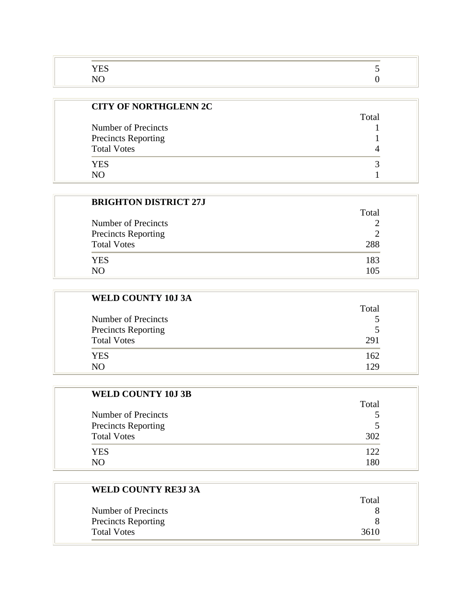| <b>CITY OF NORTHGLENN 2C</b> |       |
|------------------------------|-------|
|                              | Total |
| Number of Precincts          |       |
| <b>Precincts Reporting</b>   |       |
| <b>Total Votes</b>           |       |
| <b>YES</b>                   |       |
|                              |       |

| <b>BRIGHTON DISTRICT 27J</b> |       |
|------------------------------|-------|
|                              | Total |
| Number of Precincts          |       |
| <b>Precincts Reporting</b>   |       |
| <b>Total Votes</b>           | 288   |
| <b>YES</b>                   | 183   |
|                              | 105   |

| <b>WELD COUNTY 10J 3A</b>  |                |
|----------------------------|----------------|
|                            | Total          |
| Number of Precincts        |                |
| <b>Precincts Reporting</b> | $\overline{5}$ |
| <b>Total Votes</b>         | 291            |
| <b>YES</b>                 | 162            |
| NO.                        | 129            |

| <b>WELD COUNTY 10J 3B</b>  |       |
|----------------------------|-------|
|                            | Total |
| Number of Precincts        |       |
| <b>Precincts Reporting</b> | 5     |
| <b>Total Votes</b>         | 302   |
| <b>YES</b>                 | 122   |
| N <sub>O</sub>             | 1 R G |

| <b>WELD COUNTY RE3J 3A</b> |       |
|----------------------------|-------|
|                            | Total |
| Number of Precincts        |       |
| <b>Precincts Reporting</b> |       |
| <b>Total Votes</b>         | 3610  |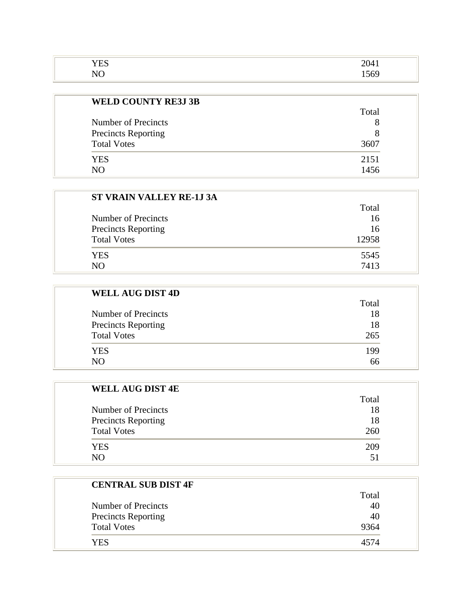| $\mathbf{r}$ $\mathbf{r}$ $\mathbf{r}$<br>н<br><b>TTD</b> | 204.<br>$\sim$ $\sim$ $\sim$ $\sim$ |
|-----------------------------------------------------------|-------------------------------------|
| $ -$<br>∼<br>.                                            | $\sim$ $\sim$                       |

| <b>WELD COUNTY RE3J 3B</b> |       |
|----------------------------|-------|
|                            | Total |
| Number of Precincts        | 8     |
| <b>Precincts Reporting</b> | 8     |
| <b>Total Votes</b>         | 3607  |
| YES                        | 2151  |
| NΩ                         | 1456  |

| <b>ST VRAIN VALLEY RE-1J 3A</b> |       |
|---------------------------------|-------|
|                                 | Total |
| Number of Precincts             | 16    |
| <b>Precincts Reporting</b>      | 16    |
| <b>Total Votes</b>              | 12958 |
| YES                             | 5545  |
| NO.                             | 7413  |

| <b>WELL AUG DIST 4D</b>    |       |
|----------------------------|-------|
|                            | Total |
| Number of Precincts        | 18    |
| <b>Precincts Reporting</b> | 18    |
| <b>Total Votes</b>         | 265   |
| <b>YES</b>                 | 199   |
| NO                         | 66    |

| <b>WELL AUG DIST 4E</b>    |       |
|----------------------------|-------|
|                            | Total |
| Number of Precincts        | 18    |
| <b>Precincts Reporting</b> | 18    |
| <b>Total Votes</b>         | 260   |
| <b>YES</b>                 | 209   |
| NΩ                         |       |

| <b>CENTRAL SUB DIST 4F</b> |       |
|----------------------------|-------|
|                            | Total |
| Number of Precincts        | 40    |
| <b>Precincts Reporting</b> | 40    |
| <b>Total Votes</b>         | 9364  |
| YES                        | 4574  |